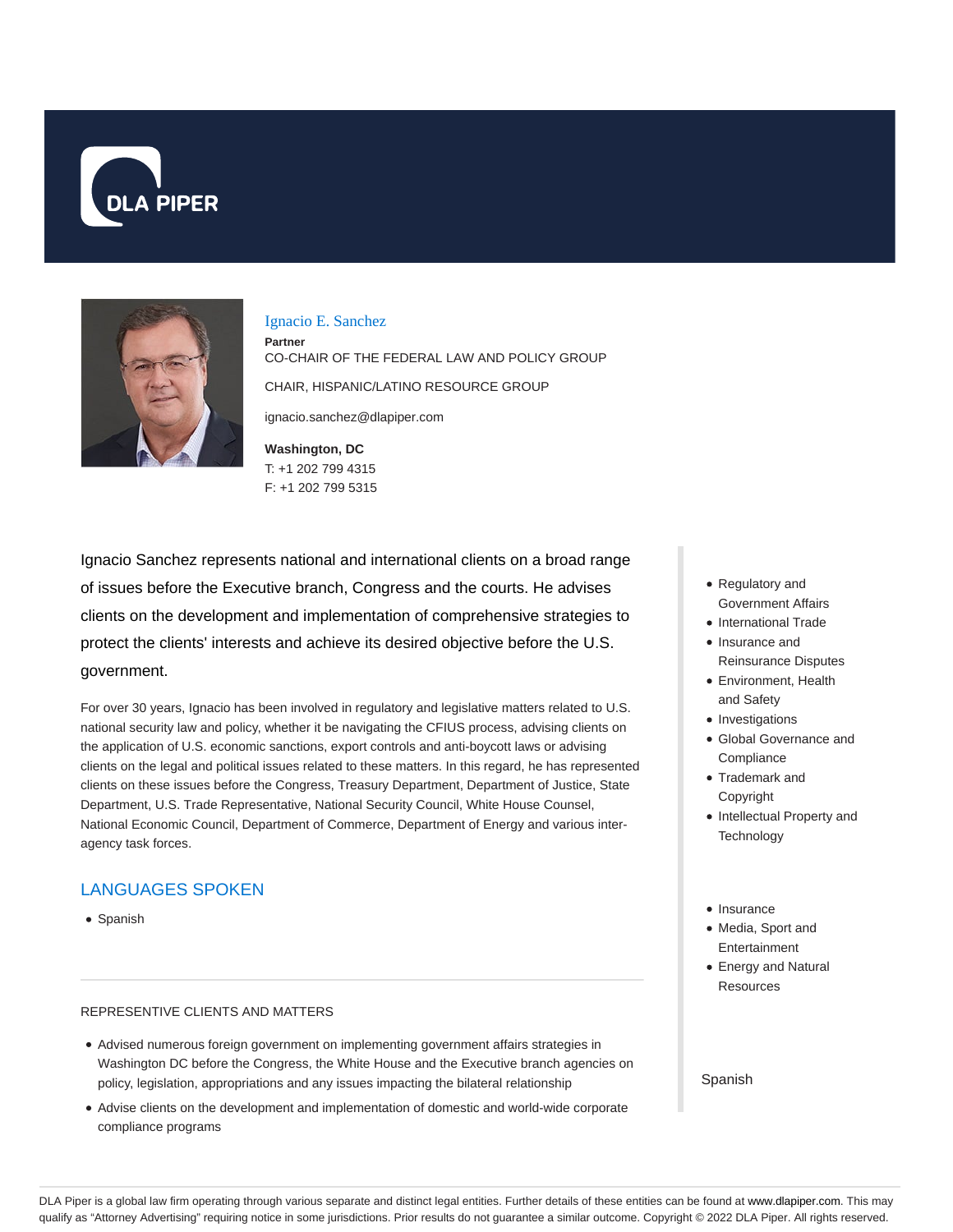



Ignacio E. Sanchez

**Partner** CO-CHAIR OF THE FEDERAL LAW AND POLICY GROUP CHAIR, HISPANIC/LATINO RESOURCE GROUP

ignacio.sanchez@dlapiper.com

**Washington, DC** T: +1 202 799 4315 F: +1 202 799 5315

Ignacio Sanchez represents national and international clients on a broad range of issues before the Executive branch, Congress and the courts. He advises clients on the development and implementation of comprehensive strategies to protect the clients' interests and achieve its desired objective before the U.S. government.

For over 30 years, Ignacio has been involved in regulatory and legislative matters related to U.S. national security law and policy, whether it be navigating the CFIUS process, advising clients on the application of U.S. economic sanctions, export controls and anti-boycott laws or advising clients on the legal and political issues related to these matters. In this regard, he has represented clients on these issues before the Congress, Treasury Department, Department of Justice, State Department, U.S. Trade Representative, National Security Council, White House Counsel, National Economic Council, Department of Commerce, Department of Energy and various interagency task forces.

# LANGUAGES SPOKEN

• Spanish

### REPRESENTIVE CLIENTS AND MATTERS

- Advised numerous foreign government on implementing government affairs strategies in Washington DC before the Congress, the White House and the Executive branch agencies on policy, legislation, appropriations and any issues impacting the bilateral relationship
- Advise clients on the development and implementation of domestic and world-wide corporate compliance programs
- Regulatory and Government Affairs
- International Trade
- Insurance and Reinsurance Disputes
- Environment, Health and Safety
- Investigations
- Global Governance and **Compliance**
- Trademark and Copyright
- Intellectual Property and **Technology**
- Insurance
- Media, Sport and Entertainment
- Energy and Natural **Resources**

Spanish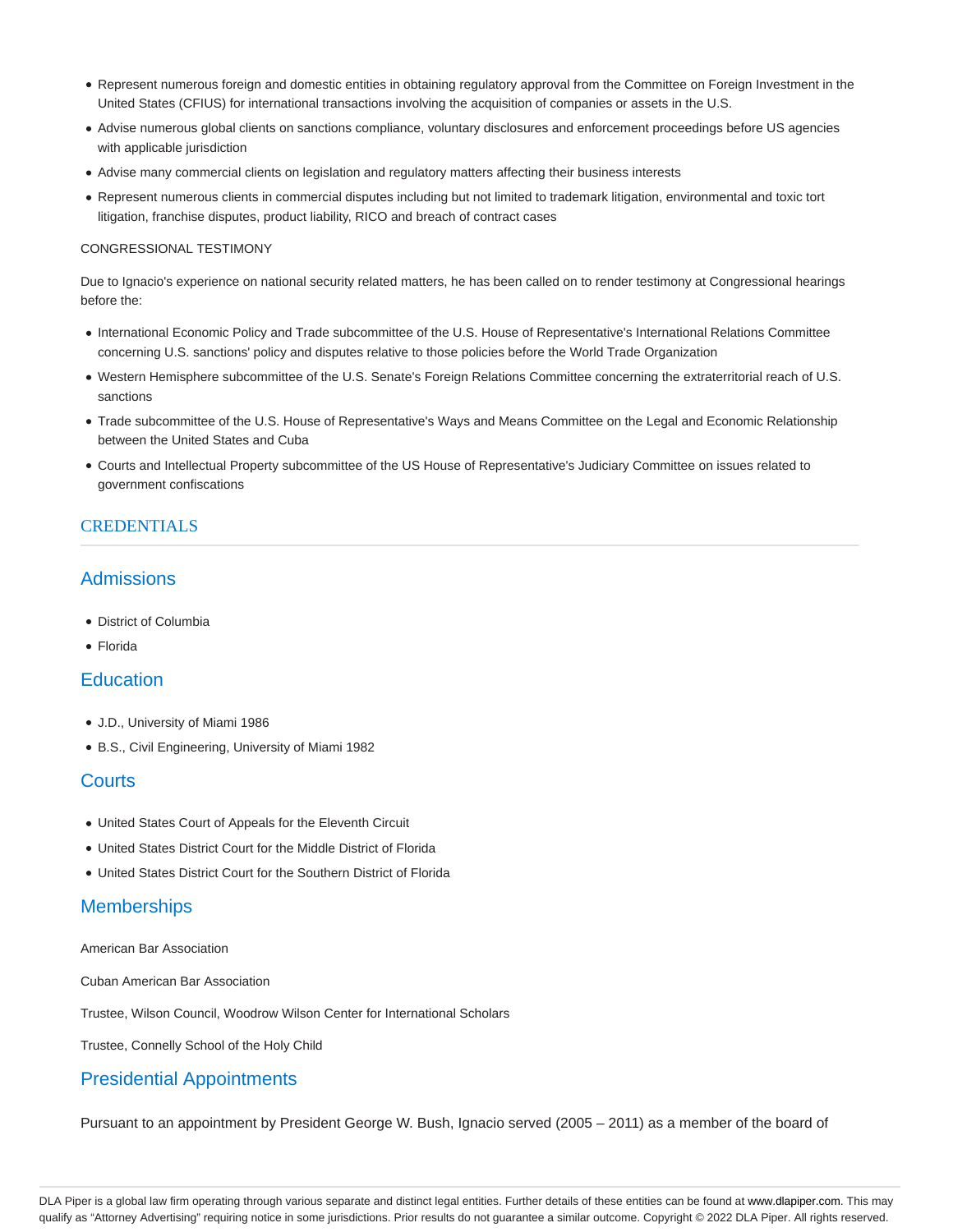- Represent numerous foreign and domestic entities in obtaining regulatory approval from the Committee on Foreign Investment in the United States (CFIUS) for international transactions involving the acquisition of companies or assets in the U.S.
- Advise numerous global clients on sanctions compliance, voluntary disclosures and enforcement proceedings before US agencies with applicable jurisdiction
- Advise many commercial clients on legislation and regulatory matters affecting their business interests
- Represent numerous clients in commercial disputes including but not limited to trademark litigation, environmental and toxic tort litigation, franchise disputes, product liability, RICO and breach of contract cases

#### CONGRESSIONAL TESTIMONY

Due to Ignacio's experience on national security related matters, he has been called on to render testimony at Congressional hearings before the:

- International Economic Policy and Trade subcommittee of the U.S. House of Representative's International Relations Committee concerning U.S. sanctions' policy and disputes relative to those policies before the World Trade Organization
- Western Hemisphere subcommittee of the U.S. Senate's Foreign Relations Committee concerning the extraterritorial reach of U.S. sanctions
- Trade subcommittee of the U.S. House of Representative's Ways and Means Committee on the Legal and Economic Relationship between the United States and Cuba
- Courts and Intellectual Property subcommittee of the US House of Representative's Judiciary Committee on issues related to government confiscations

## CREDENTIALS

# Admissions

- District of Columbia
- Florida

# **Education**

- J.D., University of Miami 1986
- B.S., Civil Engineering, University of Miami 1982

## **Courts**

- United States Court of Appeals for the Eleventh Circuit
- United States District Court for the Middle District of Florida
- United States District Court for the Southern District of Florida

## **Memberships**

American Bar Association

Cuban American Bar Association

Trustee, Wilson Council, Woodrow Wilson Center for International Scholars

Trustee, Connelly School of the Holy Child

## Presidential Appointments

Pursuant to an appointment by President George W. Bush, Ignacio served (2005 – 2011) as a member of the board of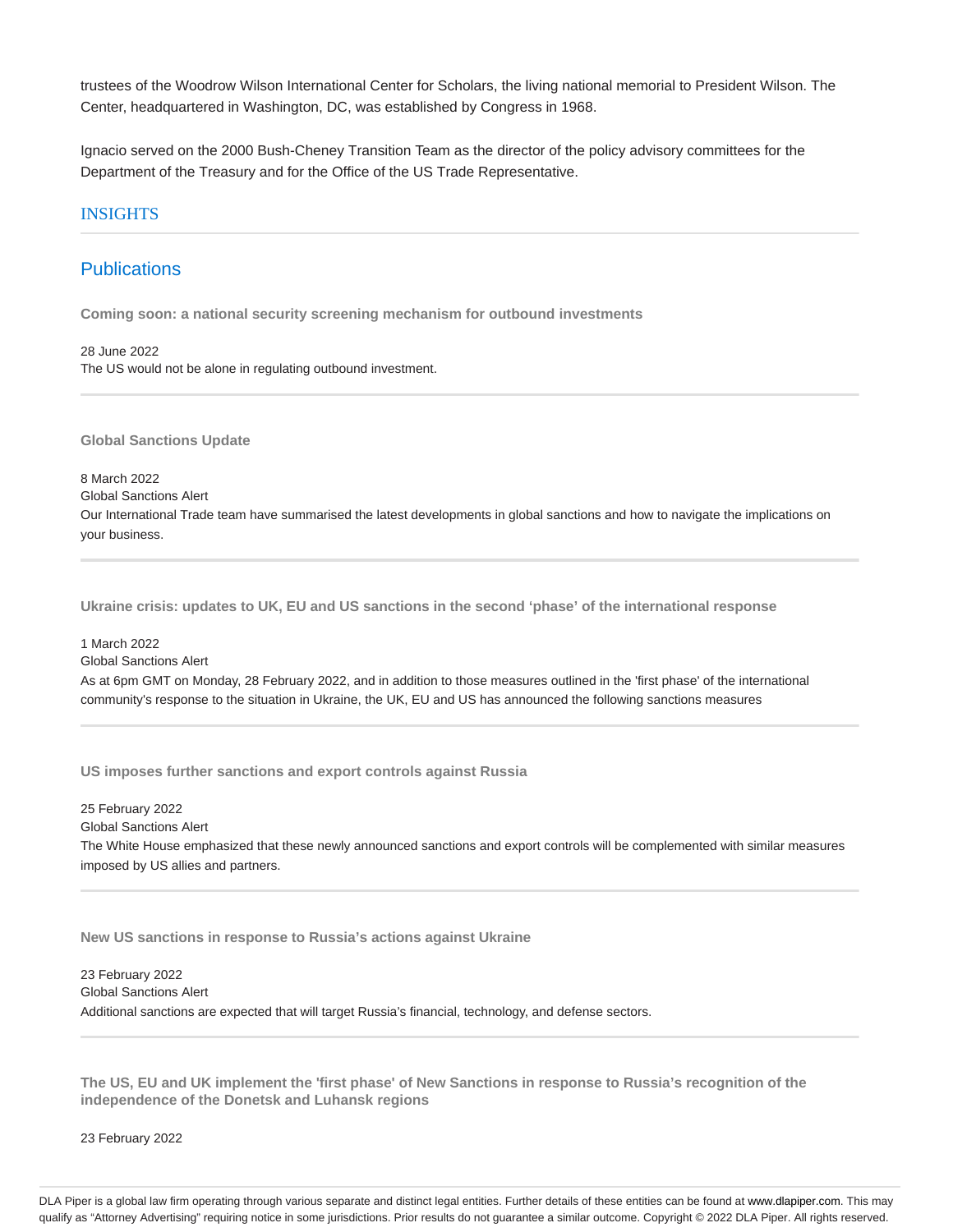trustees of the Woodrow Wilson International Center for Scholars, the living national memorial to President Wilson. The Center, headquartered in Washington, DC, was established by Congress in 1968.

Ignacio served on the 2000 Bush-Cheney Transition Team as the director of the policy advisory committees for the Department of the Treasury and for the Office of the US Trade Representative.

### INSIGHTS

## **Publications**

**Coming soon: a national security screening mechanism for outbound investments**

28 June 2022 The US would not be alone in regulating outbound investment.

**Global Sanctions Update**

8 March 2022 Global Sanctions Alert

Our International Trade team have summarised the latest developments in global sanctions and how to navigate the implications on your business.

**Ukraine crisis: updates to UK, EU and US sanctions in the second 'phase' of the international response**

1 March 2022 Global Sanctions Alert As at 6pm GMT on Monday, 28 February 2022, and in addition to those measures outlined in the 'first phase' of the international community's response to the situation in Ukraine, the UK, EU and US has announced the following sanctions measures

**US imposes further sanctions and export controls against Russia**

25 February 2022 Global Sanctions Alert The White House emphasized that these newly announced sanctions and export controls will be complemented with similar measures imposed by US allies and partners.

**New US sanctions in response to Russia's actions against Ukraine**

23 February 2022 Global Sanctions Alert Additional sanctions are expected that will target Russia's financial, technology, and defense sectors.

**The US, EU and UK implement the 'first phase' of New Sanctions in response to Russia's recognition of the independence of the Donetsk and Luhansk regions**

23 February 2022

DLA Piper is a global law firm operating through various separate and distinct legal entities. Further details of these entities can be found at www.dlapiper.com. This may qualify as "Attorney Advertising" requiring notice in some jurisdictions. Prior results do not guarantee a similar outcome. Copyright @ 2022 DLA Piper. All rights reserved.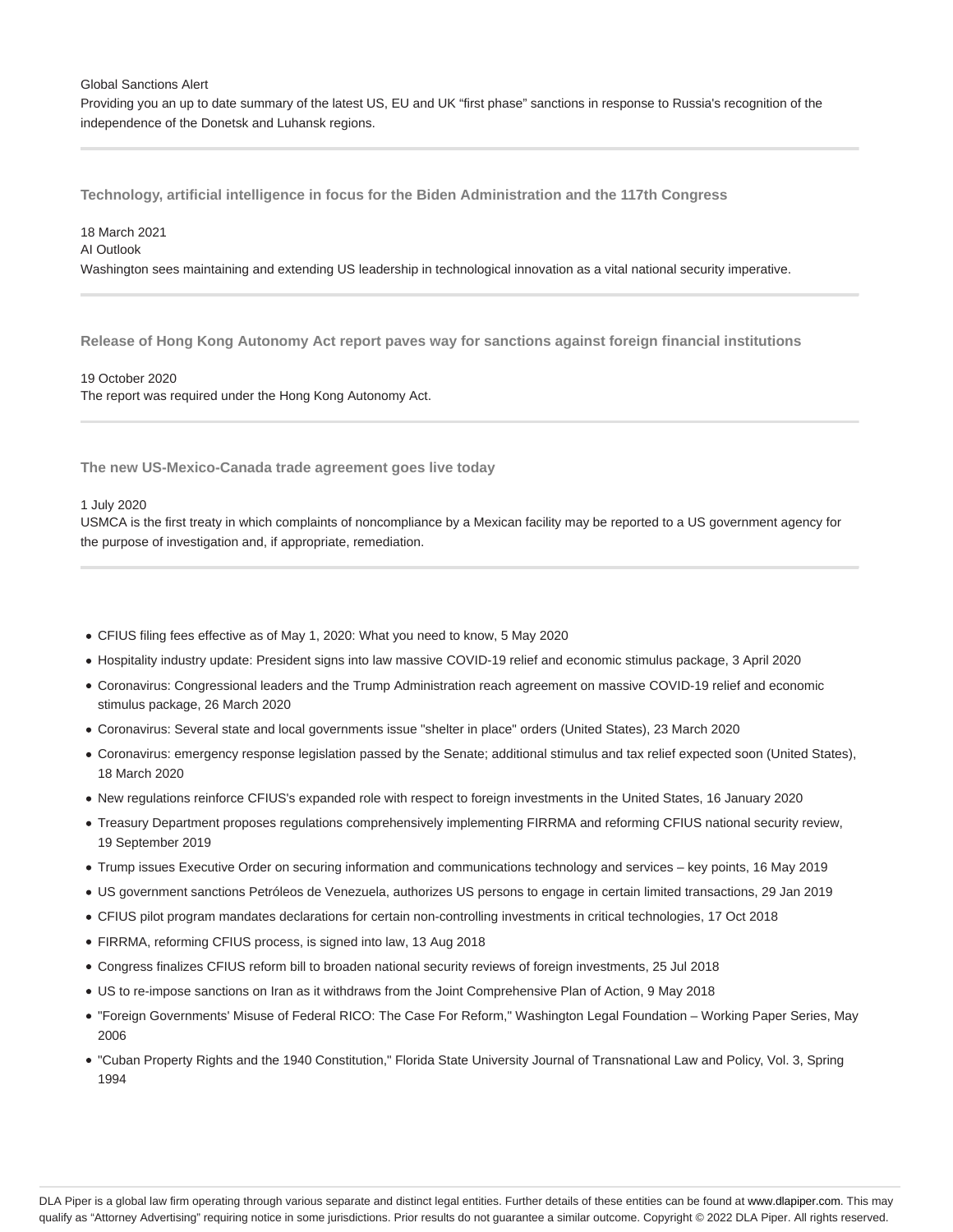#### Global Sanctions Alert

Providing you an up to date summary of the latest US, EU and UK "first phase" sanctions in response to Russia's recognition of the independence of the Donetsk and Luhansk regions.

**Technology, artificial intelligence in focus for the Biden Administration and the 117th Congress**

### 18 March 2021

AI Outlook

Washington sees maintaining and extending US leadership in technological innovation as a vital national security imperative.

**Release of Hong Kong Autonomy Act report paves way for sanctions against foreign financial institutions**

19 October 2020 The report was required under the Hong Kong Autonomy Act.

**The new US-Mexico-Canada trade agreement goes live today**

#### 1 July 2020

USMCA is the first treaty in which complaints of noncompliance by a Mexican facility may be reported to a US government agency for the purpose of investigation and, if appropriate, remediation.

- CFIUS filing fees effective as of May 1, 2020: What you need to know, 5 May 2020
- Hospitality industry update: President signs into law massive COVID-19 relief and economic stimulus package, 3 April 2020
- Coronavirus: Congressional leaders and the Trump Administration reach agreement on massive COVID-19 relief and economic stimulus package, 26 March 2020
- Coronavirus: Several state and local governments issue "shelter in place" orders (United States), 23 March 2020
- Coronavirus: emergency response legislation passed by the Senate; additional stimulus and tax relief expected soon (United States), 18 March 2020
- New regulations reinforce CFIUS's expanded role with respect to foreign investments in the United States, 16 January 2020
- Treasury Department proposes regulations comprehensively implementing FIRRMA and reforming CFIUS national security review, 19 September 2019
- Trump issues Executive Order on securing information and communications technology and services key points, 16 May 2019
- US government sanctions Petróleos de Venezuela, authorizes US persons to engage in certain limited transactions, 29 Jan 2019
- CFIUS pilot program mandates declarations for certain non-controlling investments in critical technologies, 17 Oct 2018
- FIRRMA, reforming CFIUS process, is signed into law, 13 Aug 2018
- Congress finalizes CFIUS reform bill to broaden national security reviews of foreign investments, 25 Jul 2018
- US to re-impose sanctions on Iran as it withdraws from the Joint Comprehensive Plan of Action, 9 May 2018
- "Foreign Governments' Misuse of Federal RICO: The Case For Reform," Washington Legal Foundation Working Paper Series, May 2006
- "Cuban Property Rights and the 1940 Constitution," Florida State University Journal of Transnational Law and Policy, Vol. 3, Spring 1994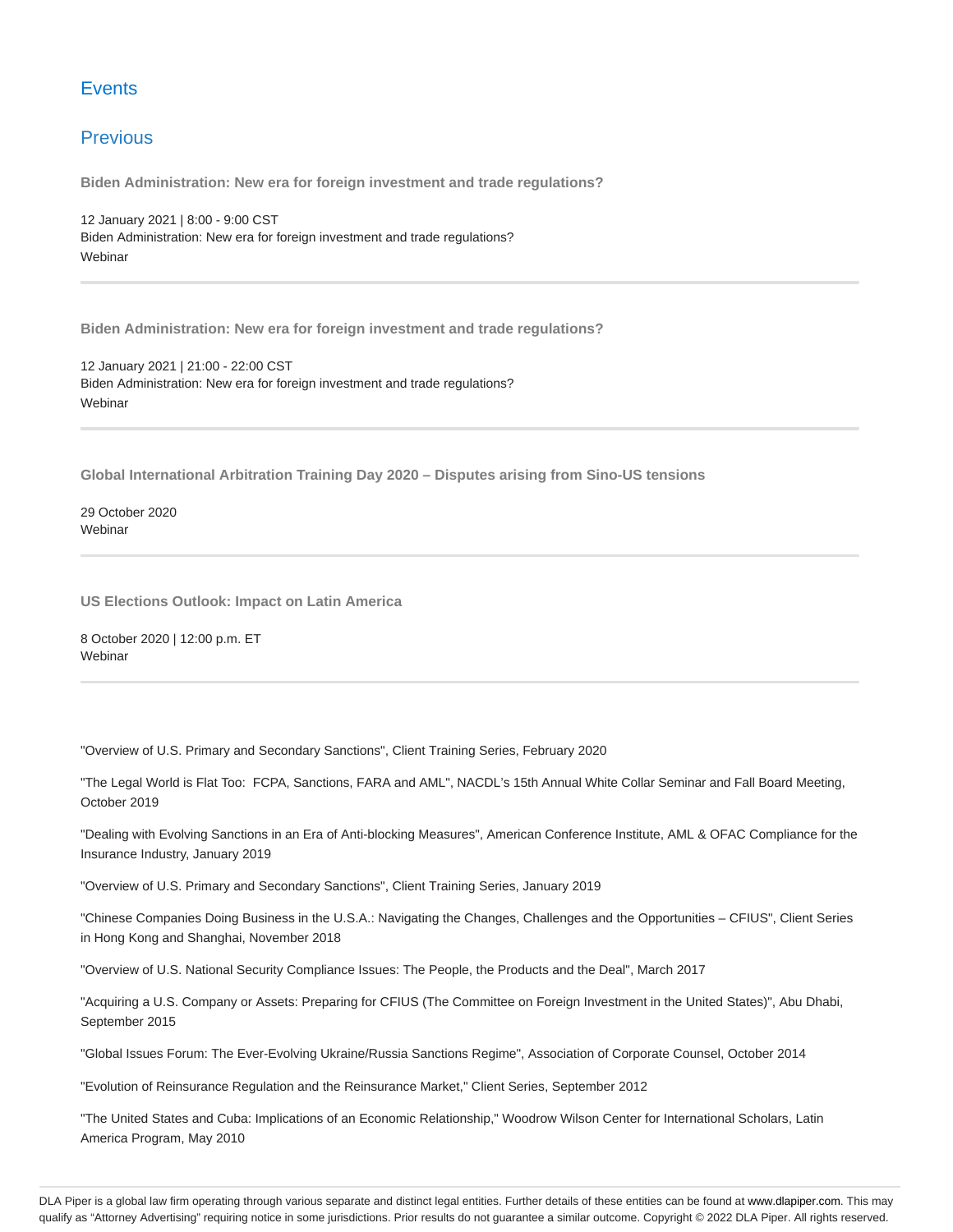# **Events**

# **Previous**

**Biden Administration: New era for foreign investment and trade regulations?**

12 January 2021 | 8:00 - 9:00 CST Biden Administration: New era for foreign investment and trade regulations? Webinar

**Biden Administration: New era for foreign investment and trade regulations?**

12 January 2021 | 21:00 - 22:00 CST Biden Administration: New era for foreign investment and trade regulations? Webinar

**Global International Arbitration Training Day 2020 – Disputes arising from Sino-US tensions**

29 October 2020 **Webinar** 

**US Elections Outlook: Impact on Latin America**

8 October 2020 | 12:00 p.m. ET **Webinar** 

"Overview of U.S. Primary and Secondary Sanctions", Client Training Series, February 2020

"The Legal World is Flat Too: FCPA, Sanctions, FARA and AML", NACDL's 15th Annual White Collar Seminar and Fall Board Meeting, October 2019

"Dealing with Evolving Sanctions in an Era of Anti-blocking Measures", American Conference Institute, AML & OFAC Compliance for the Insurance Industry, January 2019

"Overview of U.S. Primary and Secondary Sanctions", Client Training Series, January 2019

"Chinese Companies Doing Business in the U.S.A.: Navigating the Changes, Challenges and the Opportunities – CFIUS", Client Series in Hong Kong and Shanghai, November 2018

"Overview of U.S. National Security Compliance Issues: The People, the Products and the Deal", March 2017

"Acquiring a U.S. Company or Assets: Preparing for CFIUS (The Committee on Foreign Investment in the United States)", Abu Dhabi, September 2015

"Global Issues Forum: The Ever-Evolving Ukraine/Russia Sanctions Regime", Association of Corporate Counsel, October 2014

"Evolution of Reinsurance Regulation and the Reinsurance Market," Client Series, September 2012

"The United States and Cuba: Implications of an Economic Relationship," Woodrow Wilson Center for International Scholars, Latin America Program, May 2010